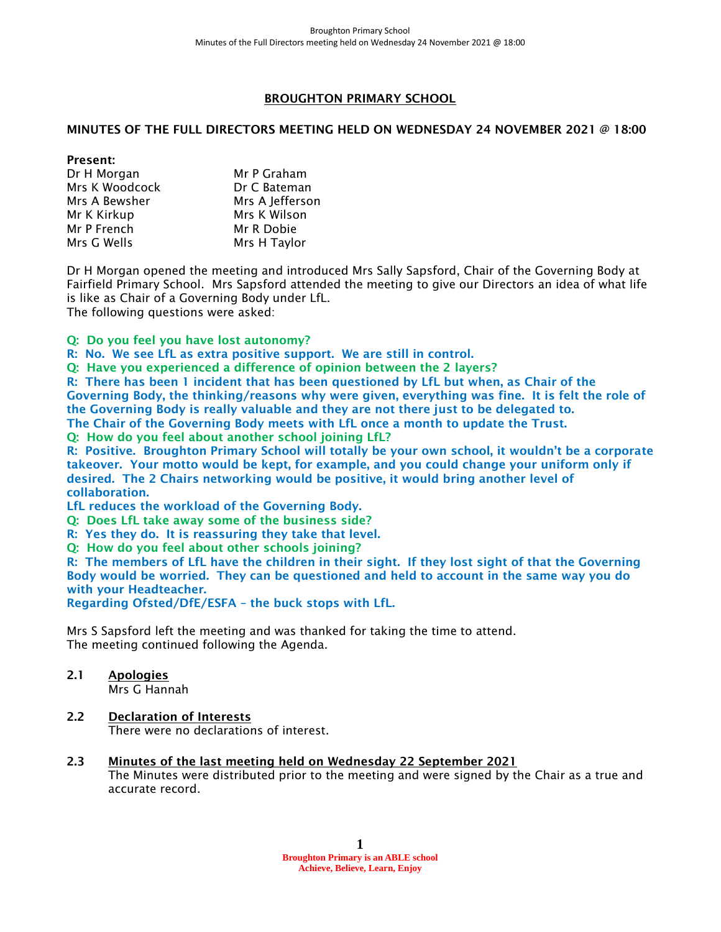## BROUGHTON PRIMARY SCHOOL

### MINUTES OF THE FULL DIRECTORS MEETING HELD ON WEDNESDAY 24 NOVEMBER 2021 @ 18:00

#### Present:

| Dr H Morgan    | Mr P Graham     |
|----------------|-----------------|
| Mrs K Woodcock | Dr C Bateman    |
| Mrs A Bewsher  | Mrs A Jefferson |
| Mr K Kirkup    | Mrs K Wilson    |
| Mr P French    | Mr R Dobie      |
| Mrs G Wells    | Mrs H Taylor    |

Dr H Morgan opened the meeting and introduced Mrs Sally Sapsford, Chair of the Governing Body at Fairfield Primary School. Mrs Sapsford attended the meeting to give our Directors an idea of what life is like as Chair of a Governing Body under LfL.

The following questions were asked:

### Q: Do you feel you have lost autonomy?

R: No. We see LfL as extra positive support. We are still in control.

Q: Have you experienced a difference of opinion between the 2 layers?

R: There has been 1 incident that has been questioned by LfL but when, as Chair of the Governing Body, the thinking/reasons why were given, everything was fine. It is felt the role of the Governing Body is really valuable and they are not there just to be delegated to. The Chair of the Governing Body meets with LfL once a month to update the Trust.

Q: How do you feel about another school joining LfL?

R: Positive. Broughton Primary School will totally be your own school, it wouldn't be a corporate takeover. Your motto would be kept, for example, and you could change your uniform only if desired. The 2 Chairs networking would be positive, it would bring another level of collaboration.

LfL reduces the workload of the Governing Body.

Q: Does LfL take away some of the business side?

R: Yes they do. It is reassuring they take that level.

Q: How do you feel about other schools joining?

R: The members of LfL have the children in their sight. If they lost sight of that the Governing Body would be worried. They can be questioned and held to account in the same way you do with your Headteacher.

Regarding Ofsted/DfE/ESFA – the buck stops with LfL.

Mrs S Sapsford left the meeting and was thanked for taking the time to attend. The meeting continued following the Agenda.

# 2.1 Apologies

Mrs G Hannah

# 2.2 Declaration of Interests

There were no declarations of interest.

# 2.3 Minutes of the last meeting held on Wednesday 22 September 2021

The Minutes were distributed prior to the meeting and were signed by the Chair as a true and accurate record.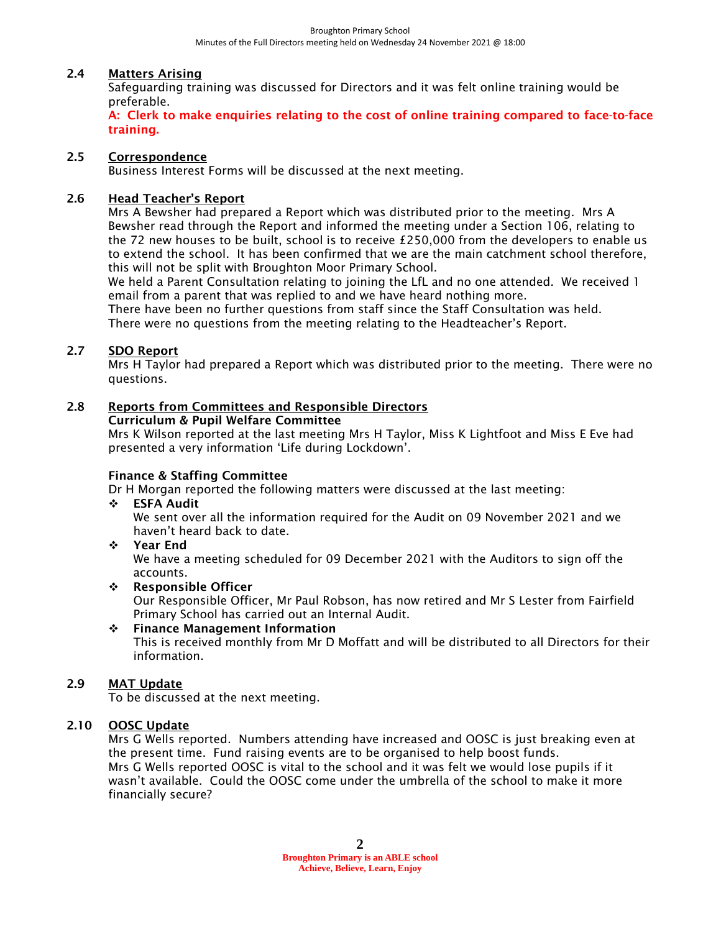## 2.4 Matters Arising

Safeguarding training was discussed for Directors and it was felt online training would be preferable.

A: Clerk to make enquiries relating to the cost of online training compared to face-to-face training.

## 2.5 Correspondence

Business Interest Forms will be discussed at the next meeting.

### 2.6 Head Teacher's Report

Mrs A Bewsher had prepared a Report which was distributed prior to the meeting. Mrs A Bewsher read through the Report and informed the meeting under a Section 106, relating to the 72 new houses to be built, school is to receive £250,000 from the developers to enable us to extend the school. It has been confirmed that we are the main catchment school therefore, this will not be split with Broughton Moor Primary School.

We held a Parent Consultation relating to joining the LfL and no one attended. We received 1 email from a parent that was replied to and we have heard nothing more.

There have been no further questions from staff since the Staff Consultation was held. There were no questions from the meeting relating to the Headteacher's Report.

#### 2.7 SDO Report

Mrs H Taylor had prepared a Report which was distributed prior to the meeting. There were no questions.

# 2.8 Reports from Committees and Responsible Directors

# Curriculum & Pupil Welfare Committee

Mrs K Wilson reported at the last meeting Mrs H Taylor, Miss K Lightfoot and Miss E Eve had presented a very information 'Life during Lockdown'.

### Finance & Staffing Committee

Dr H Morgan reported the following matters were discussed at the last meeting:

❖ ESFA Audit

We sent over all the information required for the Audit on 09 November 2021 and we haven't heard back to date.

❖ Year End

We have a meeting scheduled for 09 December 2021 with the Auditors to sign off the accounts.

❖ Responsible Officer

Our Responsible Officer, Mr Paul Robson, has now retired and Mr S Lester from Fairfield Primary School has carried out an Internal Audit.

### ❖ Finance Management Information

This is received monthly from Mr D Moffatt and will be distributed to all Directors for their information.

### 2.9 MAT Update

To be discussed at the next meeting.

## 2.10 OOSC Update

Mrs G Wells reported. Numbers attending have increased and OOSC is just breaking even at the present time. Fund raising events are to be organised to help boost funds. Mrs G Wells reported OOSC is vital to the school and it was felt we would lose pupils if it wasn't available. Could the OOSC come under the umbrella of the school to make it more financially secure?